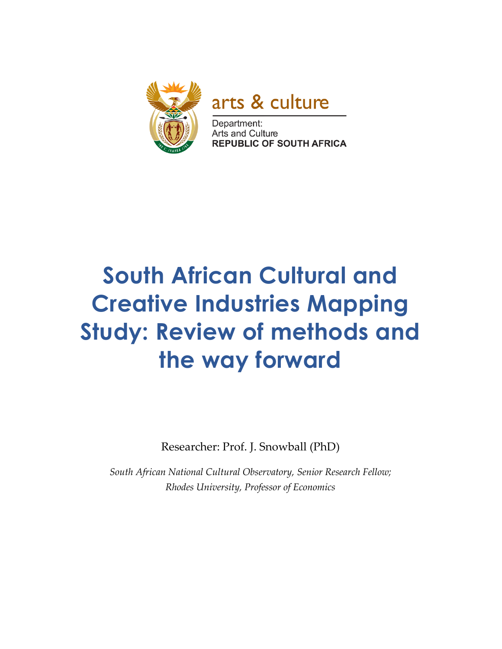

arts & culture

Department: Arts and Culture **REPUBLIC OF SOUTH AFRICA** 

# **South African Cultural and Creative Industries Mapping Study: Review of methods and the way forward**

Researcher: Prof. J. Snowball (PhD)

*South African National Cultural Observatory, Senior Research Fellow; Rhodes University, Professor of Economics*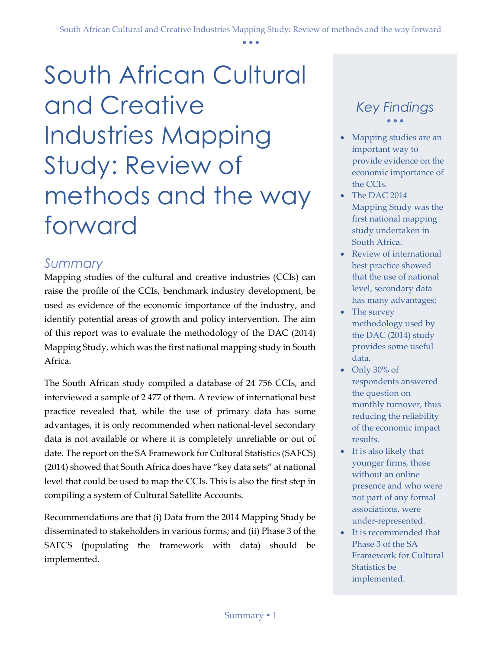South African Cultural and Creative Industries Mapping Study: Review of methods and the way forward

#### <span id="page-1-0"></span>*Summary*

Mapping studies of the cultural and creative industries (CCIs) can raise the profile of the CCIs, benchmark industry development, be used as evidence of the economic importance of the industry, and identify potential areas of growth and policy intervention. The aim of this report was to evaluate the methodology of the DAC (2014) Mapping Study, which was the first national mapping study in South Africa.

The South African study compiled a database of 24 756 CCIs, and interviewed a sample of 2 477 of them. A review of international best practice revealed that, while the use of primary data has some advantages, it is only recommended when national-level secondary data is not available or where it is completely unreliable or out of date. The report on the SA Framework for Cultural Statistics (SAFCS) (2014) showed that South Africa does have "key data sets" at national level that could be used to map the CCIs. This is also the first step in compiling a system of Cultural Satellite Accounts.

Recommendations are that (i) Data from the 2014 Mapping Study be disseminated to stakeholders in various forms; and (ii) Phase 3 of the SAFCS (populating the framework with data) should be implemented.

#### *Key Findings*  $\bullet$   $\bullet$   $\bullet$

- Mapping studies are an important way to provide evidence on the economic importance of the CCIs.
- The DAC 2014 Mapping Study was the first national mapping study undertaken in South Africa.
- Review of international best practice showed that the use of national level, secondary data has many advantages;
- The survey methodology used by the DAC (2014) study provides some useful data.
- Only 30% of respondents answered the question on monthly turnover, thus reducing the reliability of the economic impact results.
- It is also likely that younger firms, those without an online presence and who were not part of any formal associations, were under-represented.
- It is recommended that Phase 3 of the SA Framework for Cultural Statistics be implemented.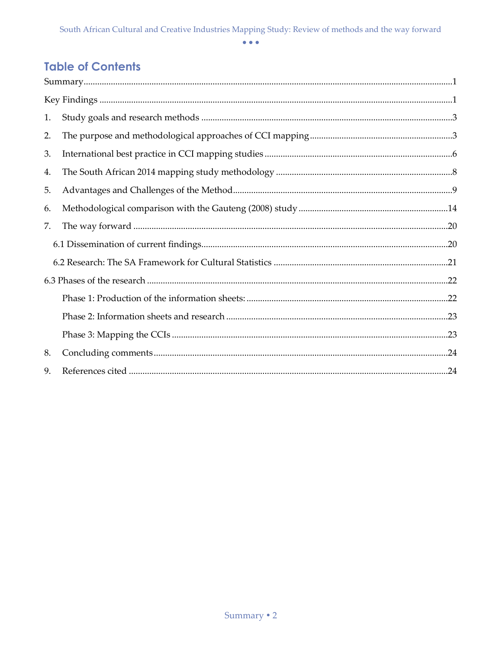### **Table of Contents**

<span id="page-2-0"></span>

| 1. |  |
|----|--|
| 2. |  |
| 3. |  |
| 4. |  |
| 5. |  |
| 6. |  |
| 7. |  |
|    |  |
|    |  |
|    |  |
|    |  |
|    |  |
|    |  |
| 8. |  |
| 9. |  |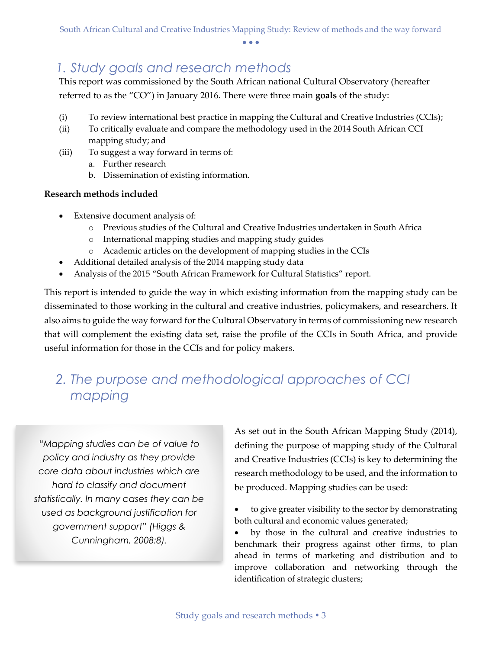### *1. Study goals and research methods*

This report was commissioned by the South African national Cultural Observatory (hereafter referred to as the "CO") in January 2016. There were three main **goals** of the study:

- (i) To review international best practice in mapping the Cultural and Creative Industries (CCIs);
- (ii) To critically evaluate and compare the methodology used in the 2014 South African CCI mapping study; and
- (iii) To suggest a way forward in terms of:
	- a. Further research
	- b. Dissemination of existing information.

#### **Research methods included**

- Extensive document analysis of:
	- o Previous studies of the Cultural and Creative Industries undertaken in South Africa
	- o International mapping studies and mapping study guides
	- o Academic articles on the development of mapping studies in the CCIs
- Additional detailed analysis of the 2014 mapping study data
- Analysis of the 2015 "South African Framework for Cultural Statistics" report.

This report is intended to guide the way in which existing information from the mapping study can be disseminated to those working in the cultural and creative industries, policymakers, and researchers. It also aims to guide the way forward for the Cultural Observatory in terms of commissioning new research that will complement the existing data set, raise the profile of the CCIs in South Africa, and provide useful information for those in the CCIs and for policy makers.

# <span id="page-3-0"></span>*2. The purpose and methodological approaches of CCI mapping*

*"Mapping studies can be of value to policy and industry as they provide core data about industries which are hard to classify and document statistically. In many cases they can be used as background justification for government support" (Higgs & Cunningham, 2008:8).*

As set out in the South African Mapping Study (2014), defining the purpose of mapping study of the Cultural and Creative Industries (CCIs) is key to determining the research methodology to be used, and the information to be produced. Mapping studies can be used:

 to give greater visibility to the sector by demonstrating both cultural and economic values generated;

 by those in the cultural and creative industries to benchmark their progress against other firms, to plan ahead in terms of marketing and distribution and to improve collaboration and networking through the identification of strategic clusters;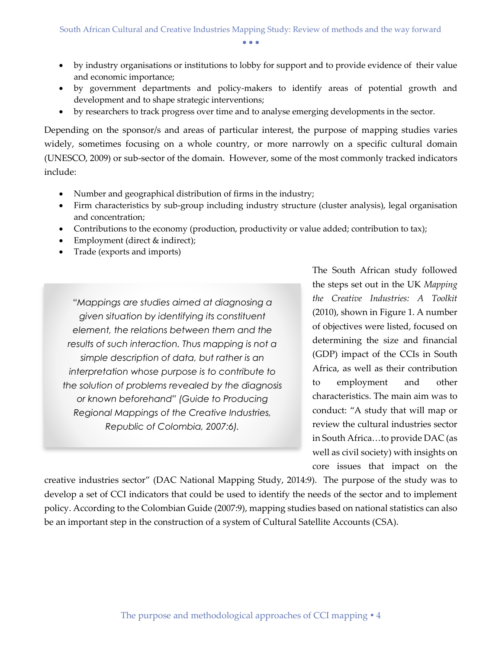- by industry organisations or institutions to lobby for support and to provide evidence of their value and economic importance;
- by government departments and policy-makers to identify areas of potential growth and development and to shape strategic interventions;
- by researchers to track progress over time and to analyse emerging developments in the sector.

Depending on the sponsor/s and areas of particular interest, the purpose of mapping studies varies widely, sometimes focusing on a whole country, or more narrowly on a specific cultural domain (UNESCO, 2009) or sub-sector of the domain. However, some of the most commonly tracked indicators include:

- Number and geographical distribution of firms in the industry;
- Firm characteristics by sub-group including industry structure (cluster analysis), legal organisation and concentration;
- Contributions to the economy (production, productivity or value added; contribution to tax);
- Employment (direct & indirect);
- Trade (exports and imports)

*"Mappings are studies aimed at diagnosing a given situation by identifying its constituent element, the relations between them and the results of such interaction. Thus mapping is not a simple description of data, but rather is an interpretation whose purpose is to contribute to the solution of problems revealed by the diagnosis or known beforehand" (Guide to Producing Regional Mappings of the Creative Industries, Republic of Colombia, 2007:6).*

The South African study followed the steps set out in the UK *Mapping the Creative Industries: A Toolkit*  (2010), shown in Figure 1. A number of objectives were listed, focused on determining the size and financial (GDP) impact of the CCIs in South Africa, as well as their contribution to employment and other characteristics. The main aim was to conduct: "A study that will map or review the cultural industries sector in South Africa…to provide DAC (as well as civil society) with insights on core issues that impact on the

creative industries sector" (DAC National Mapping Study, 2014:9). The purpose of the study was to develop a set of CCI indicators that could be used to identify the needs of the sector and to implement policy. According to the Colombian Guide (2007:9), mapping studies based on national statistics can also be an important step in the construction of a system of Cultural Satellite Accounts (CSA).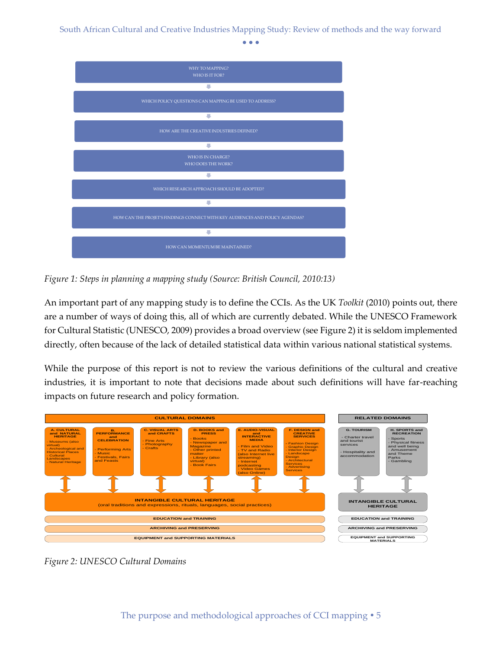South African Cultural and Creative Industries Mapping Study: Review of methods and the way forward

 $\bullet$   $\bullet$   $\bullet$ 



*Figure 1: Steps in planning a mapping study (Source: British Council, 2010:13)*

An important part of any mapping study is to define the CCIs. As the UK *Toolkit* (2010) points out, there are a number of ways of doing this, all of which are currently debated. While the UNESCO Framework for Cultural Statistic (UNESCO, 2009) provides a broad overview (see Figure 2) it is seldom implemented directly, often because of the lack of detailed statistical data within various national statistical systems.

While the purpose of this report is not to review the various definitions of the cultural and creative industries, it is important to note that decisions made about such definitions will have far-reaching impacts on future research and policy formation.



*Figure 2: UNESCO Cultural Domains*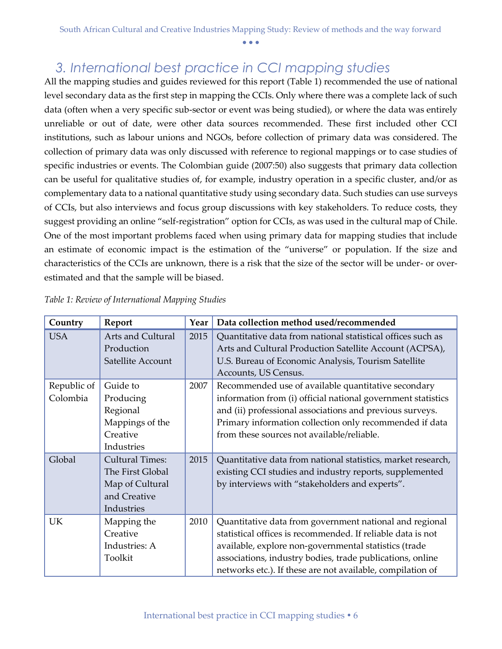### <span id="page-6-0"></span>*3. International best practice in CCI mapping studies*

All the mapping studies and guides reviewed for this report (Table 1) recommended the use of national level secondary data as the first step in mapping the CCIs. Only where there was a complete lack of such data (often when a very specific sub-sector or event was being studied), or where the data was entirely unreliable or out of date, were other data sources recommended. These first included other CCI institutions, such as labour unions and NGOs, before collection of primary data was considered. The collection of primary data was only discussed with reference to regional mappings or to case studies of specific industries or events. The Colombian guide (2007:50) also suggests that primary data collection can be useful for qualitative studies of, for example, industry operation in a specific cluster, and/or as complementary data to a national quantitative study using secondary data. Such studies can use surveys of CCIs, but also interviews and focus group discussions with key stakeholders. To reduce costs, they suggest providing an online "self-registration" option for CCIs, as was used in the cultural map of Chile. One of the most important problems faced when using primary data for mapping studies that include an estimate of economic impact is the estimation of the "universe" or population. If the size and characteristics of the CCIs are unknown, there is a risk that the size of the sector will be under- or overestimated and that the sample will be biased.

| Country                 | Report                                                                                      | Year | Data collection method used/recommended                                                                                                                                                                                                                                                                    |  |
|-------------------------|---------------------------------------------------------------------------------------------|------|------------------------------------------------------------------------------------------------------------------------------------------------------------------------------------------------------------------------------------------------------------------------------------------------------------|--|
| <b>USA</b>              | Arts and Cultural<br>Production<br>Satellite Account                                        | 2015 | Quantitative data from national statistical offices such as<br>Arts and Cultural Production Satellite Account (ACPSA),<br>U.S. Bureau of Economic Analysis, Tourism Satellite<br>Accounts, US Census.                                                                                                      |  |
| Republic of<br>Colombia | Guide to<br>Producing<br>Regional<br>Mappings of the<br>Creative<br>Industries              | 2007 | Recommended use of available quantitative secondary<br>information from (i) official national government statistics<br>and (ii) professional associations and previous surveys.<br>Primary information collection only recommended if data<br>from these sources not available/reliable.                   |  |
| Global                  | <b>Cultural Times:</b><br>The First Global<br>Map of Cultural<br>and Creative<br>Industries | 2015 | Quantitative data from national statistics, market research,<br>existing CCI studies and industry reports, supplemented<br>by interviews with "stakeholders and experts".                                                                                                                                  |  |
| UK                      | Mapping the<br>Creative<br>Industries: A<br>Toolkit                                         | 2010 | Quantitative data from government national and regional<br>statistical offices is recommended. If reliable data is not<br>available, explore non-governmental statistics (trade<br>associations, industry bodies, trade publications, online<br>networks etc.). If these are not available, compilation of |  |

|  | Table 1: Review of International Mapping Studies |  |
|--|--------------------------------------------------|--|
|  |                                                  |  |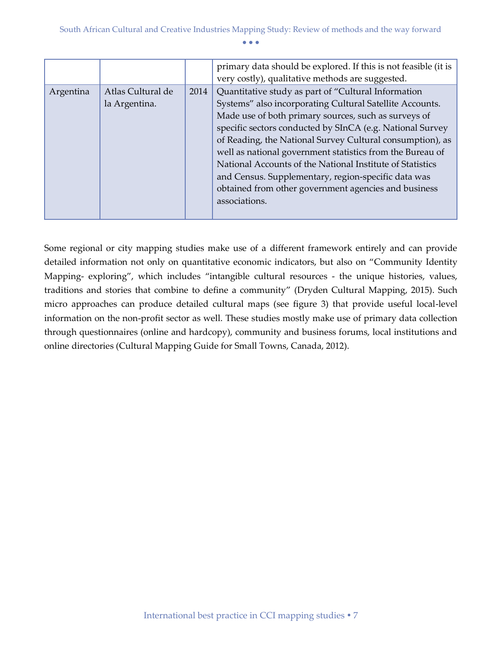|           |                   |      | primary data should be explored. If this is not feasible (it is |  |
|-----------|-------------------|------|-----------------------------------------------------------------|--|
|           |                   |      | very costly), qualitative methods are suggested.                |  |
| Argentina | Atlas Cultural de | 2014 | Quantitative study as part of "Cultural Information             |  |
|           | la Argentina.     |      | Systems" also incorporating Cultural Satellite Accounts.        |  |
|           |                   |      | Made use of both primary sources, such as surveys of            |  |
|           |                   |      | specific sectors conducted by SInCA (e.g. National Survey       |  |
|           |                   |      | of Reading, the National Survey Cultural consumption), as       |  |
|           |                   |      | well as national government statistics from the Bureau of       |  |
|           |                   |      | National Accounts of the National Institute of Statistics       |  |
|           |                   |      | and Census. Supplementary, region-specific data was             |  |
|           |                   |      | obtained from other government agencies and business            |  |
|           |                   |      | associations.                                                   |  |
|           |                   |      |                                                                 |  |

Some regional or city mapping studies make use of a different framework entirely and can provide detailed information not only on quantitative economic indicators, but also on "Community Identity Mapping- exploring", which includes "intangible cultural resources - the unique histories, values, traditions and stories that combine to define a community" (Dryden Cultural Mapping, 2015). Such micro approaches can produce detailed cultural maps (see figure 3) that provide useful local-level information on the non-profit sector as well. These studies mostly make use of primary data collection through questionnaires (online and hardcopy), community and business forums, local institutions and online directories (Cultural Mapping Guide for Small Towns, Canada, 2012).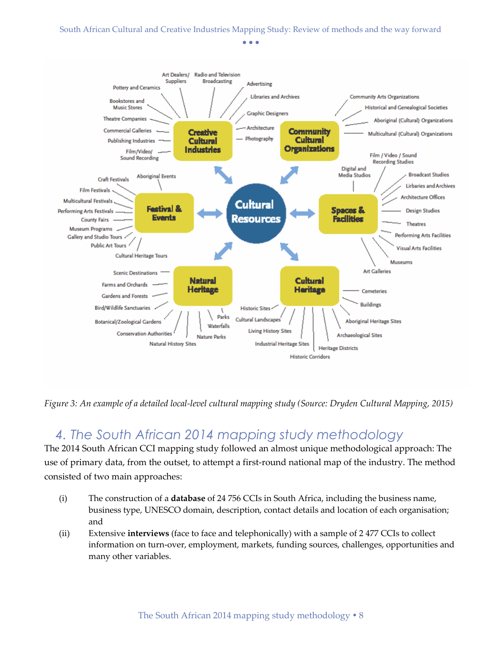

*Figure 3: An example of a detailed local-level cultural mapping study (Source: Dryden Cultural Mapping, 2015)*

### <span id="page-8-0"></span>*4. The South African 2014 mapping study methodology*

The 2014 South African CCI mapping study followed an almost unique methodological approach: The use of primary data, from the outset, to attempt a first-round national map of the industry. The method consisted of two main approaches:

- (i) The construction of a **database** of 24 756 CCIs in South Africa, including the business name, business type, UNESCO domain, description, contact details and location of each organisation; and
- (ii) Extensive **interviews** (face to face and telephonically) with a sample of 2 477 CCIs to collect information on turn-over, employment, markets, funding sources, challenges, opportunities and many other variables.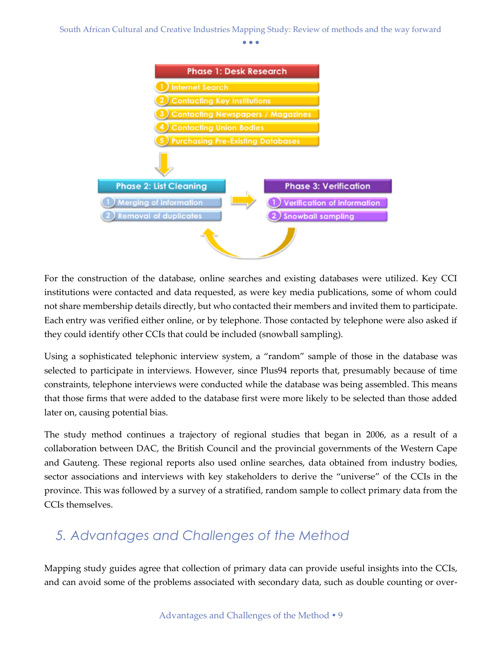South African Cultural and Creative Industries Mapping Study: Review of methods and the way forward

 $\bullet$   $\bullet$   $\bullet$ 



For the construction of the database, online searches and existing databases were utilized. Key CCI institutions were contacted and data requested, as were key media publications, some of whom could not share membership details directly, but who contacted their members and invited them to participate. Each entry was verified either online, or by telephone. Those contacted by telephone were also asked if they could identify other CCIs that could be included (snowball sampling).

Using a sophisticated telephonic interview system, a "random" sample of those in the database was selected to participate in interviews. However, since Plus94 reports that, presumably because of time constraints, telephone interviews were conducted while the database was being assembled. This means that those firms that were added to the database first were more likely to be selected than those added later on, causing potential bias.

The study method continues a trajectory of regional studies that began in 2006, as a result of a collaboration between DAC, the British Council and the provincial governments of the Western Cape and Gauteng. These regional reports also used online searches, data obtained from industry bodies, sector associations and interviews with key stakeholders to derive the "universe" of the CCIs in the province. This was followed by a survey of a stratified, random sample to collect primary data from the CCIs themselves.

# <span id="page-9-0"></span>*5. Advantages and Challenges of the Method*

Mapping study guides agree that collection of primary data can provide useful insights into the CCIs, and can avoid some of the problems associated with secondary data, such as double counting or over-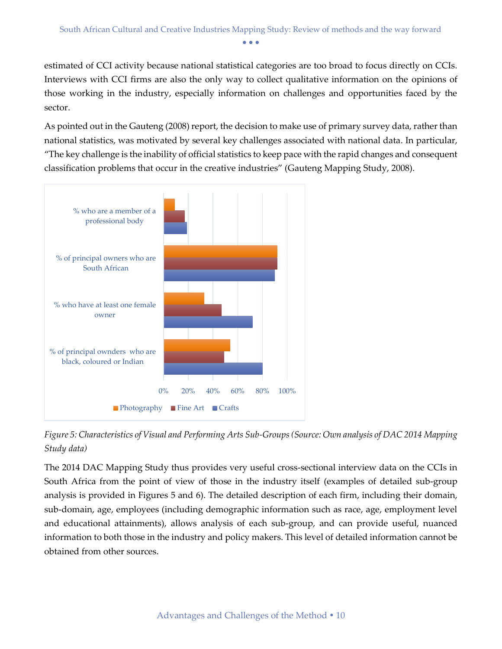estimated of CCI activity because national statistical categories are too broad to focus directly on CCIs. Interviews with CCI firms are also the only way to collect qualitative information on the opinions of those working in the industry, especially information on challenges and opportunities faced by the sector.

As pointed out in the Gauteng (2008) report, the decision to make use of primary survey data, rather than national statistics, was motivated by several key challenges associated with national data. In particular, "The key challenge is the inability of official statistics to keep pace with the rapid changes and consequent classification problems that occur in the creative industries" (Gauteng Mapping Study, 2008).



*Figure 5: Characteristics of Visual and Performing Arts Sub-Groups (Source: Own analysis of DAC 2014 Mapping Study data)*

The 2014 DAC Mapping Study thus provides very useful cross-sectional interview data on the CCIs in South Africa from the point of view of those in the industry itself (examples of detailed sub-group analysis is provided in Figures 5 and 6). The detailed description of each firm, including their domain, sub-domain, age, employees (including demographic information such as race, age, employment level and educational attainments), allows analysis of each sub-group, and can provide useful, nuanced information to both those in the industry and policy makers. This level of detailed information cannot be obtained from other sources.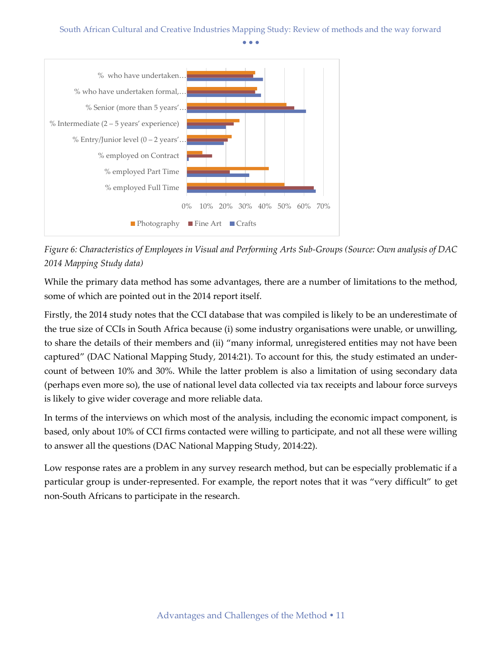#### South African Cultural and Creative Industries Mapping Study: Review of methods and the way forward

 $\bullet$   $\bullet$   $\bullet$ 



*Figure 6: Characteristics of Employees in Visual and Performing Arts Sub-Groups (Source: Own analysis of DAC 2014 Mapping Study data)*

While the primary data method has some advantages, there are a number of limitations to the method, some of which are pointed out in the 2014 report itself.

Firstly, the 2014 study notes that the CCI database that was compiled is likely to be an underestimate of the true size of CCIs in South Africa because (i) some industry organisations were unable, or unwilling, to share the details of their members and (ii) "many informal, unregistered entities may not have been captured" (DAC National Mapping Study, 2014:21). To account for this, the study estimated an undercount of between 10% and 30%. While the latter problem is also a limitation of using secondary data (perhaps even more so), the use of national level data collected via tax receipts and labour force surveys is likely to give wider coverage and more reliable data.

In terms of the interviews on which most of the analysis, including the economic impact component, is based, only about 10% of CCI firms contacted were willing to participate, and not all these were willing to answer all the questions (DAC National Mapping Study, 2014:22).

Low response rates are a problem in any survey research method, but can be especially problematic if a particular group is under-represented. For example, the report notes that it was "very difficult" to get non-South Africans to participate in the research.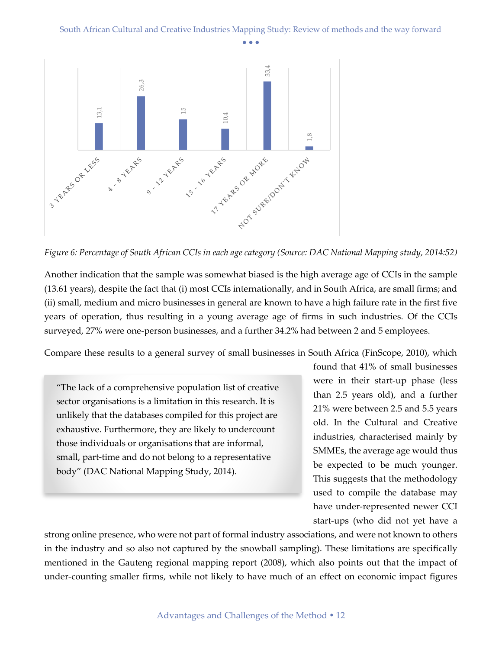

*Figure 6: Percentage of South African CCIs in each age category (Source: DAC National Mapping study, 2014:52)*

Another indication that the sample was somewhat biased is the high average age of CCIs in the sample (13.61 years), despite the fact that (i) most CCIs internationally, and in South Africa, are small firms; and (ii) small, medium and micro businesses in general are known to have a high failure rate in the first five years of operation, thus resulting in a young average age of firms in such industries. Of the CCIs surveyed, 27% were one-person businesses, and a further 34.2% had between 2 and 5 employees.

Compare these results to a general survey of small businesses in South Africa (FinScope, 2010), which

"The lack of a comprehensive population list of creative sector organisations is a limitation in this research. It is unlikely that the databases compiled for this project are exhaustive. Furthermore, they are likely to undercount those individuals or organisations that are informal, small, part-time and do not belong to a representative body" (DAC National Mapping Study, 2014).

found that 41% of small businesses were in their start-up phase (less than 2.5 years old), and a further 21% were between 2.5 and 5.5 years old. In the Cultural and Creative industries, characterised mainly by SMMEs, the average age would thus be expected to be much younger. This suggests that the methodology used to compile the database may have under-represented newer CCI start-ups (who did not yet have a

strong online presence, who were not part of formal industry associations, and were not known to others in the industry and so also not captured by the snowball sampling). These limitations are specifically mentioned in the Gauteng regional mapping report (2008), which also points out that the impact of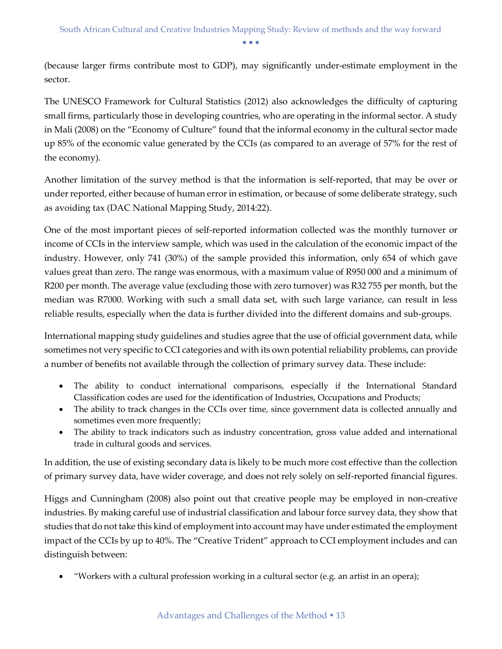(because larger firms contribute most to GDP), may significantly under-estimate employment in the sector.

The UNESCO Framework for Cultural Statistics (2012) also acknowledges the difficulty of capturing small firms, particularly those in developing countries, who are operating in the informal sector. A study in Mali (2008) on the "Economy of Culture" found that the informal economy in the cultural sector made up 85% of the economic value generated by the CCIs (as compared to an average of 57% for the rest of the economy).

Another limitation of the survey method is that the information is self-reported, that may be over or under reported, either because of human error in estimation, or because of some deliberate strategy, such as avoiding tax (DAC National Mapping Study, 2014:22).

One of the most important pieces of self-reported information collected was the monthly turnover or income of CCIs in the interview sample, which was used in the calculation of the economic impact of the industry. However, only 741 (30%) of the sample provided this information, only 654 of which gave values great than zero. The range was enormous, with a maximum value of R950 000 and a minimum of R200 per month. The average value (excluding those with zero turnover) was R32 755 per month, but the median was R7000. Working with such a small data set, with such large variance, can result in less reliable results, especially when the data is further divided into the different domains and sub-groups.

International mapping study guidelines and studies agree that the use of official government data, while sometimes not very specific to CCI categories and with its own potential reliability problems, can provide a number of benefits not available through the collection of primary survey data. These include:

- The ability to conduct international comparisons, especially if the International Standard Classification codes are used for the identification of Industries, Occupations and Products;
- The ability to track changes in the CCIs over time, since government data is collected annually and sometimes even more frequently;
- The ability to track indicators such as industry concentration, gross value added and international trade in cultural goods and services.

In addition, the use of existing secondary data is likely to be much more cost effective than the collection of primary survey data, have wider coverage, and does not rely solely on self-reported financial figures.

Higgs and Cunningham (2008) also point out that creative people may be employed in non-creative industries. By making careful use of industrial classification and labour force survey data, they show that studies that do not take this kind of employment into account may have under estimated the employment impact of the CCIs by up to 40%. The "Creative Trident" approach to CCI employment includes and can distinguish between:

"Workers with a cultural profession working in a cultural sector (e.g. an artist in an opera);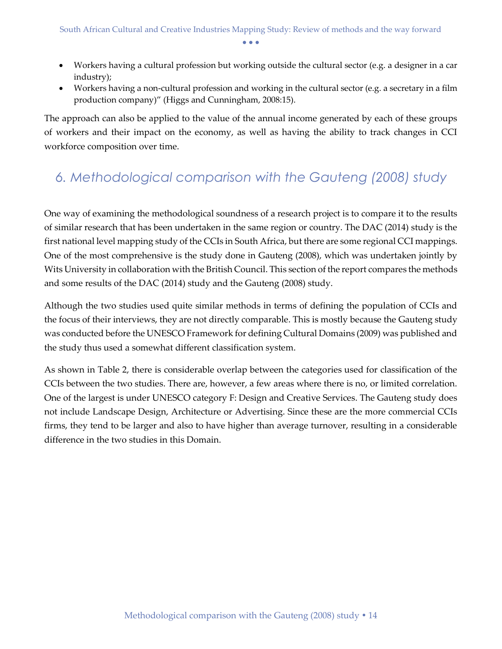- Workers having a cultural profession but working outside the cultural sector (e.g. a designer in a car industry);
- Workers having a non-cultural profession and working in the cultural sector (e.g. a secretary in a film production company)" (Higgs and Cunningham, 2008:15).

The approach can also be applied to the value of the annual income generated by each of these groups of workers and their impact on the economy, as well as having the ability to track changes in CCI workforce composition over time.

# <span id="page-14-0"></span>*6. Methodological comparison with the Gauteng (2008) study*

One way of examining the methodological soundness of a research project is to compare it to the results of similar research that has been undertaken in the same region or country. The DAC (2014) study is the first national level mapping study of the CCIs in South Africa, but there are some regional CCI mappings. One of the most comprehensive is the study done in Gauteng (2008), which was undertaken jointly by Wits University in collaboration with the British Council. This section of the report compares the methods and some results of the DAC (2014) study and the Gauteng (2008) study.

Although the two studies used quite similar methods in terms of defining the population of CCIs and the focus of their interviews, they are not directly comparable. This is mostly because the Gauteng study was conducted before the UNESCO Framework for defining Cultural Domains (2009) was published and the study thus used a somewhat different classification system.

As shown in Table 2, there is considerable overlap between the categories used for classification of the CCIs between the two studies. There are, however, a few areas where there is no, or limited correlation. One of the largest is under UNESCO category F: Design and Creative Services. The Gauteng study does not include Landscape Design, Architecture or Advertising. Since these are the more commercial CCIs firms, they tend to be larger and also to have higher than average turnover, resulting in a considerable difference in the two studies in this Domain.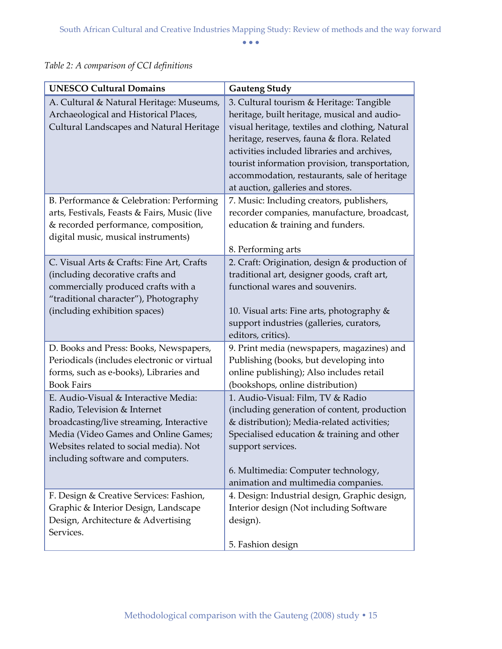| <b>UNESCO Cultural Domains</b>                                                                                                                                                                                                          | <b>Gauteng Study</b>                                                                                                                                                                                                                                                                                                                                                            |
|-----------------------------------------------------------------------------------------------------------------------------------------------------------------------------------------------------------------------------------------|---------------------------------------------------------------------------------------------------------------------------------------------------------------------------------------------------------------------------------------------------------------------------------------------------------------------------------------------------------------------------------|
| A. Cultural & Natural Heritage: Museums,<br>Archaeological and Historical Places,<br>Cultural Landscapes and Natural Heritage                                                                                                           | 3. Cultural tourism & Heritage: Tangible<br>heritage, built heritage, musical and audio-<br>visual heritage, textiles and clothing, Natural<br>heritage, reserves, fauna & flora. Related<br>activities included libraries and archives,<br>tourist information provision, transportation,<br>accommodation, restaurants, sale of heritage<br>at auction, galleries and stores. |
| B. Performance & Celebration: Performing<br>arts, Festivals, Feasts & Fairs, Music (live<br>& recorded performance, composition,<br>digital music, musical instruments)                                                                 | 7. Music: Including creators, publishers,<br>recorder companies, manufacture, broadcast,<br>education & training and funders.                                                                                                                                                                                                                                                   |
| C. Visual Arts & Crafts: Fine Art, Crafts<br>(including decorative crafts and<br>commercially produced crafts with a<br>"traditional character"), Photography<br>(including exhibition spaces)                                          | 8. Performing arts<br>2. Craft: Origination, design & production of<br>traditional art, designer goods, craft art,<br>functional wares and souvenirs.<br>10. Visual arts: Fine arts, photography &<br>support industries (galleries, curators,<br>editors, critics).                                                                                                            |
| D. Books and Press: Books, Newspapers,<br>Periodicals (includes electronic or virtual<br>forms, such as e-books), Libraries and<br><b>Book Fairs</b>                                                                                    | 9. Print media (newspapers, magazines) and<br>Publishing (books, but developing into<br>online publishing); Also includes retail<br>(bookshops, online distribution)                                                                                                                                                                                                            |
| E. Audio-Visual & Interactive Media:<br>Radio, Television & Internet<br>broadcasting/live streaming, Interactive<br>Media (Video Games and Online Games;<br>Websites related to social media). Not<br>including software and computers. | 1. Audio-Visual: Film, TV & Radio<br>(including generation of content, production<br>& distribution); Media-related activities;<br>Specialised education & training and other<br>support services.<br>6. Multimedia: Computer technology,<br>animation and multimedia companies.                                                                                                |
| F. Design & Creative Services: Fashion,<br>Graphic & Interior Design, Landscape<br>Design, Architecture & Advertising<br>Services.                                                                                                      | 4. Design: Industrial design, Graphic design,<br>Interior design (Not including Software<br>design).<br>5. Fashion design                                                                                                                                                                                                                                                       |

*Table 2: A comparison of CCI definitions*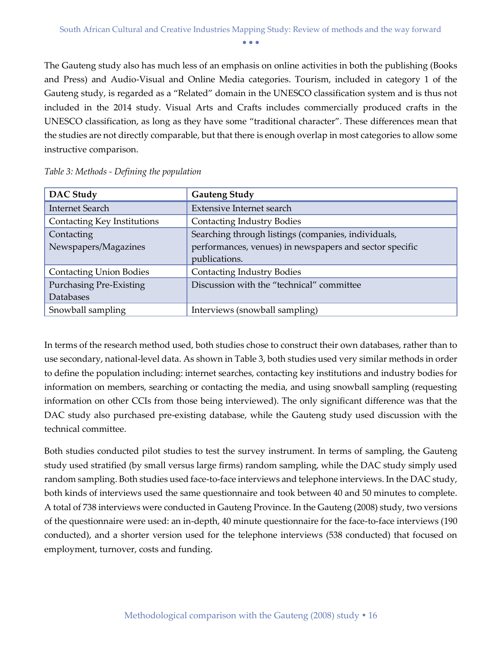The Gauteng study also has much less of an emphasis on online activities in both the publishing (Books and Press) and Audio-Visual and Online Media categories. Tourism, included in category 1 of the Gauteng study, is regarded as a "Related" domain in the UNESCO classification system and is thus not included in the 2014 study. Visual Arts and Crafts includes commercially produced crafts in the UNESCO classification, as long as they have some "traditional character". These differences mean that the studies are not directly comparable, but that there is enough overlap in most categories to allow some instructive comparison.

| DAC Study                                   | <b>Gauteng Study</b>                                                                                                            |
|---------------------------------------------|---------------------------------------------------------------------------------------------------------------------------------|
| <b>Internet Search</b>                      | <b>Extensive Internet search</b>                                                                                                |
| Contacting Key Institutions                 | <b>Contacting Industry Bodies</b>                                                                                               |
| Contacting<br>Newspapers/Magazines          | Searching through listings (companies, individuals,<br>performances, venues) in newspapers and sector specific<br>publications. |
| <b>Contacting Union Bodies</b>              | <b>Contacting Industry Bodies</b>                                                                                               |
| <b>Purchasing Pre-Existing</b><br>Databases | Discussion with the "technical" committee                                                                                       |
| Snowball sampling                           | Interviews (snowball sampling)                                                                                                  |

*Table 3: Methods - Defining the population*

In terms of the research method used, both studies chose to construct their own databases, rather than to use secondary, national-level data. As shown in Table 3, both studies used very similar methods in order to define the population including: internet searches, contacting key institutions and industry bodies for information on members, searching or contacting the media, and using snowball sampling (requesting information on other CCIs from those being interviewed). The only significant difference was that the DAC study also purchased pre-existing database, while the Gauteng study used discussion with the technical committee.

Both studies conducted pilot studies to test the survey instrument. In terms of sampling, the Gauteng study used stratified (by small versus large firms) random sampling, while the DAC study simply used random sampling. Both studies used face-to-face interviews and telephone interviews. In the DAC study, both kinds of interviews used the same questionnaire and took between 40 and 50 minutes to complete. A total of 738 interviews were conducted in Gauteng Province. In the Gauteng (2008) study, two versions of the questionnaire were used: an in-depth, 40 minute questionnaire for the face-to-face interviews (190 conducted), and a shorter version used for the telephone interviews (538 conducted) that focused on employment, turnover, costs and funding.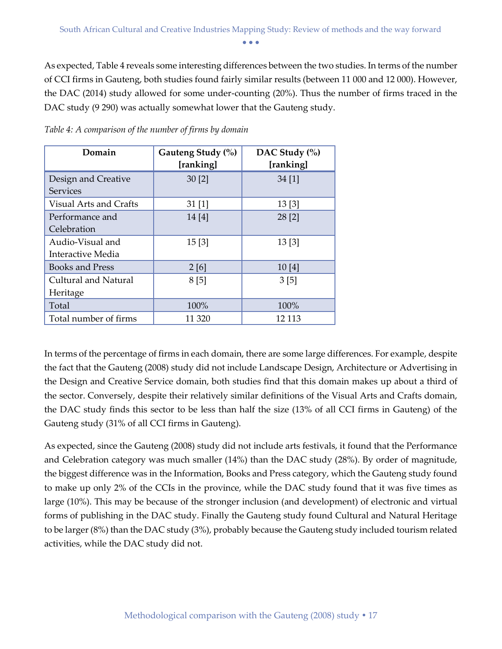As expected, Table 4 reveals some interesting differences between the two studies. In terms of the number of CCI firms in Gauteng, both studies found fairly similar results (between 11 000 and 12 000). However, the DAC (2014) study allowed for some under-counting (20%). Thus the number of firms traced in the DAC study (9 290) was actually somewhat lower that the Gauteng study.

| Domain                                 | Gauteng Study (%)<br>[ranking] | DAC Study (%)<br>[ranking] |
|----------------------------------------|--------------------------------|----------------------------|
| Design and Creative<br><b>Services</b> | 30 [2]                         | 34[1]                      |
| <b>Visual Arts and Crafts</b>          | 31 [1]                         | 13[3]                      |
| Performance and<br>Celebration         | 14[4]                          | 28 [2]                     |
| Audio-Visual and<br>Interactive Media  | 15[3]                          | 13[3]                      |
| <b>Books and Press</b>                 | 2[6]                           | 10[4]                      |
| Cultural and Natural<br>Heritage       | 8[5]                           | 3[5]                       |
| Total                                  | 100%                           | 100%                       |
| Total number of firms                  | 11 320                         | 12 113                     |

*Table 4: A comparison of the number of firms by domain*

In terms of the percentage of firms in each domain, there are some large differences. For example, despite the fact that the Gauteng (2008) study did not include Landscape Design, Architecture or Advertising in the Design and Creative Service domain, both studies find that this domain makes up about a third of the sector. Conversely, despite their relatively similar definitions of the Visual Arts and Crafts domain, the DAC study finds this sector to be less than half the size (13% of all CCI firms in Gauteng) of the Gauteng study (31% of all CCI firms in Gauteng).

As expected, since the Gauteng (2008) study did not include arts festivals, it found that the Performance and Celebration category was much smaller (14%) than the DAC study (28%). By order of magnitude, the biggest difference was in the Information, Books and Press category, which the Gauteng study found to make up only 2% of the CCIs in the province, while the DAC study found that it was five times as large (10%). This may be because of the stronger inclusion (and development) of electronic and virtual forms of publishing in the DAC study. Finally the Gauteng study found Cultural and Natural Heritage to be larger (8%) than the DAC study (3%), probably because the Gauteng study included tourism related activities, while the DAC study did not.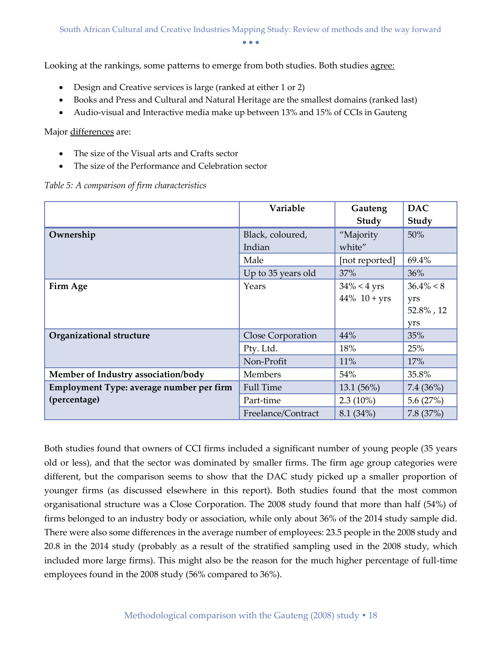Looking at the rankings, some patterns to emerge from both studies. Both studies <u>agree</u>:

- Design and Creative services is large (ranked at either 1 or 2)
- Books and Press and Cultural and Natural Heritage are the smallest domains (ranked last)
- Audio-visual and Interactive media make up between 13% and 15% of CCIs in Gauteng

Major differences are:

- The size of the Visual arts and Crafts sector
- The size of the Performance and Celebration sector

*Table 5: A comparison of firm characteristics*

|                                          | Variable                   | Gauteng<br>Study    | <b>DAC</b><br>Study |
|------------------------------------------|----------------------------|---------------------|---------------------|
| Ownership                                | Black, coloured,<br>Indian | "Majority<br>white" | 50%                 |
|                                          | Male                       | [not reported]      | 69.4%               |
|                                          | Up to 35 years old         | 37%                 | 36%                 |
| Firm Age                                 | Years                      | $34\% < 4$ yrs      | $36.4\% < 8$        |
|                                          |                            | $44\%$ 10 + yrs     | yrs                 |
|                                          |                            |                     | $52.8\%$ , 12       |
|                                          |                            |                     | yrs                 |
| Organizational structure                 | Close Corporation          | 44%                 | 35%                 |
|                                          | Pty. Ltd.                  | 18%                 | 25%                 |
|                                          | Non-Profit                 | 11%                 | 17%                 |
| Member of Industry association/body      | Members                    | 54%                 | 35.8%               |
| Employment Type: average number per firm | <b>Full Time</b>           | 13.1 (56%)          | 7.4 (36%)           |
| (percentage)                             | Part-time                  | $2.3(10\%)$         | 5.6 $(27%)$         |
|                                          | Freelance/Contract         | 8.1 (34%)           | 7.8 (37%)           |

Both studies found that owners of CCI firms included a significant number of young people (35 years old or less), and that the sector was dominated by smaller firms. The firm age group categories were different, but the comparison seems to show that the DAC study picked up a smaller proportion of younger firms (as discussed elsewhere in this report). Both studies found that the most common organisational structure was a Close Corporation. The 2008 study found that more than half (54%) of firms belonged to an industry body or association, while only about 36% of the 2014 study sample did. There were also some differences in the average number of employees: 23.5 people in the 2008 study and 20.8 in the 2014 study (probably as a result of the stratified sampling used in the 2008 study, which included more large firms). This might also be the reason for the much higher percentage of full-time employees found in the 2008 study (56% compared to 36%).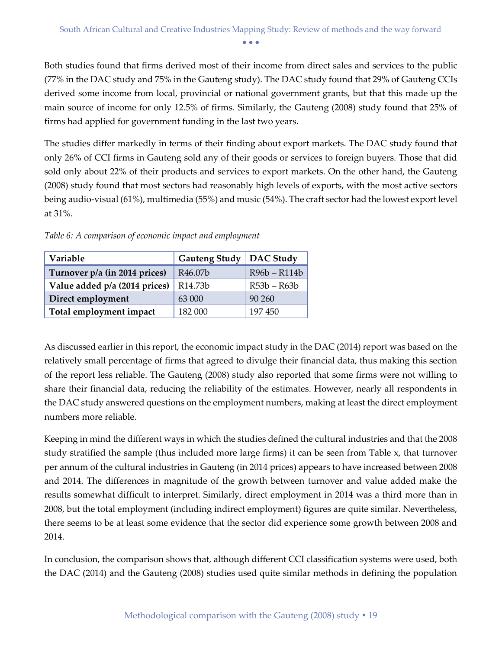Both studies found that firms derived most of their income from direct sales and services to the public (77% in the DAC study and 75% in the Gauteng study). The DAC study found that 29% of Gauteng CCIs derived some income from local, provincial or national government grants, but that this made up the main source of income for only 12.5% of firms. Similarly, the Gauteng (2008) study found that 25% of firms had applied for government funding in the last two years.

The studies differ markedly in terms of their finding about export markets. The DAC study found that only 26% of CCI firms in Gauteng sold any of their goods or services to foreign buyers. Those that did sold only about 22% of their products and services to export markets. On the other hand, the Gauteng (2008) study found that most sectors had reasonably high levels of exports, with the most active sectors being audio-visual (61%), multimedia (55%) and music (54%). The craft sector had the lowest export level at 31%.

| Variable                      | <b>Gauteng Study</b> | DAC Study    |
|-------------------------------|----------------------|--------------|
| Turnover p/a (in 2014 prices) | R46.07b              | R96b - R114b |
| Value added p/a (2014 prices) | R14.73b              | R53b – R63b  |
| Direct employment             | 63 000               | 90 260       |
| Total employment impact       | 182 000              | 197450       |

*Table 6: A comparison of economic impact and employment*

As discussed earlier in this report, the economic impact study in the DAC (2014) report was based on the relatively small percentage of firms that agreed to divulge their financial data, thus making this section of the report less reliable. The Gauteng (2008) study also reported that some firms were not willing to share their financial data, reducing the reliability of the estimates. However, nearly all respondents in the DAC study answered questions on the employment numbers, making at least the direct employment numbers more reliable.

Keeping in mind the different ways in which the studies defined the cultural industries and that the 2008 study stratified the sample (thus included more large firms) it can be seen from Table x, that turnover per annum of the cultural industries in Gauteng (in 2014 prices) appears to have increased between 2008 and 2014. The differences in magnitude of the growth between turnover and value added make the results somewhat difficult to interpret. Similarly, direct employment in 2014 was a third more than in 2008, but the total employment (including indirect employment) figures are quite similar. Nevertheless, there seems to be at least some evidence that the sector did experience some growth between 2008 and 2014.

In conclusion, the comparison shows that, although different CCI classification systems were used, both the DAC (2014) and the Gauteng (2008) studies used quite similar methods in defining the population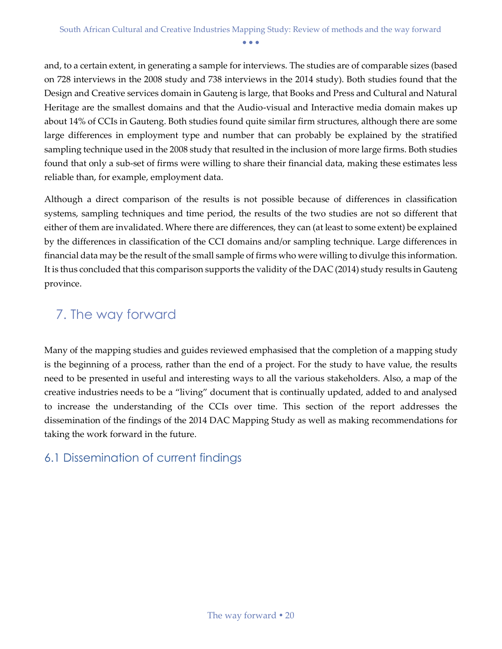and, to a certain extent, in generating a sample for interviews. The studies are of comparable sizes (based on 728 interviews in the 2008 study and 738 interviews in the 2014 study). Both studies found that the Design and Creative services domain in Gauteng is large, that Books and Press and Cultural and Natural Heritage are the smallest domains and that the Audio-visual and Interactive media domain makes up about 14% of CCIs in Gauteng. Both studies found quite similar firm structures, although there are some large differences in employment type and number that can probably be explained by the stratified sampling technique used in the 2008 study that resulted in the inclusion of more large firms. Both studies found that only a sub-set of firms were willing to share their financial data, making these estimates less reliable than, for example, employment data.

Although a direct comparison of the results is not possible because of differences in classification systems, sampling techniques and time period, the results of the two studies are not so different that either of them are invalidated. Where there are differences, they can (at least to some extent) be explained by the differences in classification of the CCI domains and/or sampling technique. Large differences in financial data may be the result of the small sample of firms who were willing to divulge this information. It is thus concluded that this comparison supports the validity of the DAC (2014) study results in Gauteng province.

### <span id="page-20-0"></span>7. The way forward

Many of the mapping studies and guides reviewed emphasised that the completion of a mapping study is the beginning of a process, rather than the end of a project. For the study to have value, the results need to be presented in useful and interesting ways to all the various stakeholders. Also, a map of the creative industries needs to be a "living" document that is continually updated, added to and analysed to increase the understanding of the CCIs over time. This section of the report addresses the dissemination of the findings of the 2014 DAC Mapping Study as well as making recommendations for taking the work forward in the future.

#### <span id="page-20-1"></span>6.1 Dissemination of current findings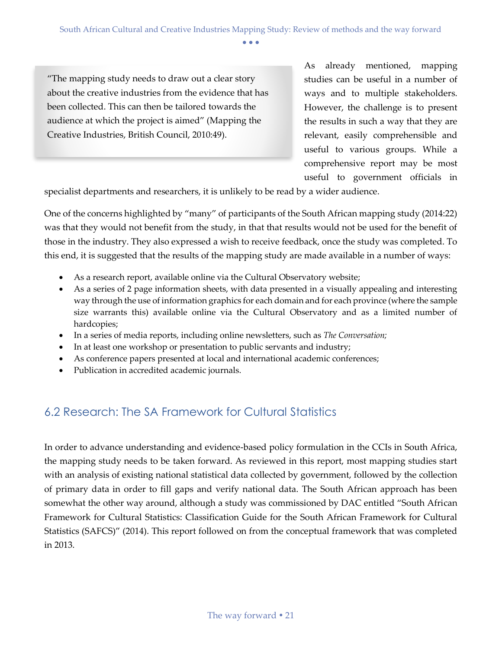"The mapping study needs to draw out a clear story about the creative industries from the evidence that has been collected. This can then be tailored towards the audience at which the project is aimed" (Mapping the Creative Industries, British Council, 2010:49).

As already mentioned, mapping studies can be useful in a number of ways and to multiple stakeholders. However, the challenge is to present the results in such a way that they are relevant, easily comprehensible and useful to various groups. While a comprehensive report may be most useful to government officials in

specialist departments and researchers, it is unlikely to be read by a wider audience.

One of the concerns highlighted by "many" of participants of the South African mapping study (2014:22) was that they would not benefit from the study, in that that results would not be used for the benefit of those in the industry. They also expressed a wish to receive feedback, once the study was completed. To this end, it is suggested that the results of the mapping study are made available in a number of ways:

- As a research report, available online via the Cultural Observatory website;
- As a series of 2 page information sheets, with data presented in a visually appealing and interesting way through the use of information graphics for each domain and for each province (where the sample size warrants this) available online via the Cultural Observatory and as a limited number of hardcopies;
- In a series of media reports, including online newsletters, such as *The Conversation;*
- In at least one workshop or presentation to public servants and industry;
- As conference papers presented at local and international academic conferences;
- Publication in accredited academic journals.

#### <span id="page-21-0"></span>6.2 Research: The SA Framework for Cultural Statistics

In order to advance understanding and evidence-based policy formulation in the CCIs in South Africa, the mapping study needs to be taken forward. As reviewed in this report, most mapping studies start with an analysis of existing national statistical data collected by government, followed by the collection of primary data in order to fill gaps and verify national data. The South African approach has been somewhat the other way around, although a study was commissioned by DAC entitled "South African Framework for Cultural Statistics: Classification Guide for the South African Framework for Cultural Statistics (SAFCS)" (2014). This report followed on from the conceptual framework that was completed in 2013.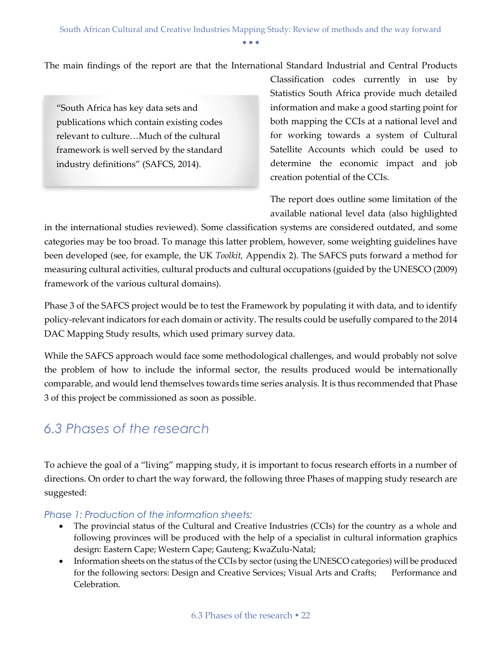The main findings of the report are that the International Standard Industrial and Central Products

"South Africa has key data sets and publications which contain existing codes relevant to culture…Much of the cultural framework is well served by the standard industry definitions" (SAFCS, 2014).

Classification codes currently in use by Statistics South Africa provide much detailed information and make a good starting point for both mapping the CCIs at a national level and for working towards a system of Cultural Satellite Accounts which could be used to determine the economic impact and job creation potential of the CCIs.

The report does outline some limitation of the available national level data (also highlighted

in the international studies reviewed). Some classification systems are considered outdated, and some categories may be too broad. To manage this latter problem, however, some weighting guidelines have been developed (see, for example, the UK *Toolkit,* Appendix 2). The SAFCS puts forward a method for measuring cultural activities, cultural products and cultural occupations (guided by the UNESCO (2009) framework of the various cultural domains).

Phase 3 of the SAFCS project would be to test the Framework by populating it with data, and to identify policy-relevant indicators for each domain or activity. The results could be usefully compared to the 2014 DAC Mapping Study results, which used primary survey data.

While the SAFCS approach would face some methodological challenges, and would probably not solve the problem of how to include the informal sector, the results produced would be internationally comparable, and would lend themselves towards time series analysis. It is thus recommended that Phase 3 of this project be commissioned as soon as possible.

### <span id="page-22-0"></span>*6.3 Phases of the research*

To achieve the goal of a "living" mapping study, it is important to focus research efforts in a number of directions. On order to chart the way forward, the following three Phases of mapping study research are suggested:

#### <span id="page-22-1"></span>*Phase 1: Production of the information sheets:*

- The provincial status of the Cultural and Creative Industries (CCIs) for the country as a whole and following provinces will be produced with the help of a specialist in cultural information graphics design: Eastern Cape; Western Cape; Gauteng; KwaZulu-Natal;
- Information sheets on the status of the CCIs by sector (using the UNESCO categories) will be produced for the following sectors: Design and Creative Services; Visual Arts and Crafts; Performance and Celebration.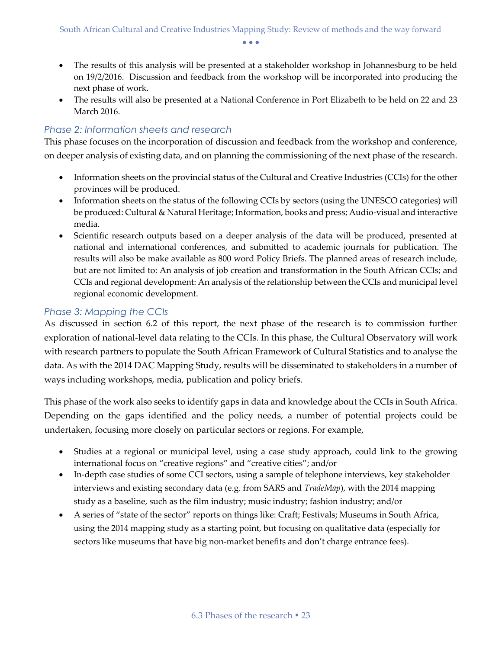- The results of this analysis will be presented at a stakeholder workshop in Johannesburg to be held on 19/2/2016. Discussion and feedback from the workshop will be incorporated into producing the next phase of work.
- The results will also be presented at a National Conference in Port Elizabeth to be held on 22 and 23 March 2016.

#### <span id="page-23-0"></span>*Phase 2: Information sheets and research*

This phase focuses on the incorporation of discussion and feedback from the workshop and conference, on deeper analysis of existing data, and on planning the commissioning of the next phase of the research.

- Information sheets on the provincial status of the Cultural and Creative Industries (CCIs) for the other provinces will be produced.
- Information sheets on the status of the following CCIs by sectors (using the UNESCO categories) will be produced: Cultural & Natural Heritage; Information, books and press; Audio-visual and interactive media.
- Scientific research outputs based on a deeper analysis of the data will be produced, presented at national and international conferences, and submitted to academic journals for publication. The results will also be make available as 800 word Policy Briefs. The planned areas of research include, but are not limited to: An analysis of job creation and transformation in the South African CCIs; and CCIs and regional development: An analysis of the relationship between the CCIs and municipal level regional economic development.

#### <span id="page-23-1"></span>*Phase 3: Mapping the CCIs*

As discussed in section 6.2 of this report, the next phase of the research is to commission further exploration of national-level data relating to the CCIs. In this phase, the Cultural Observatory will work with research partners to populate the South African Framework of Cultural Statistics and to analyse the data. As with the 2014 DAC Mapping Study, results will be disseminated to stakeholders in a number of ways including workshops, media, publication and policy briefs.

This phase of the work also seeks to identify gaps in data and knowledge about the CCIs in South Africa. Depending on the gaps identified and the policy needs, a number of potential projects could be undertaken, focusing more closely on particular sectors or regions. For example,

- Studies at a regional or municipal level, using a case study approach, could link to the growing international focus on "creative regions" and "creative cities"; and/or
- In-depth case studies of some CCI sectors, using a sample of telephone interviews, key stakeholder interviews and existing secondary data (e.g. from SARS and *TradeMap*), with the 2014 mapping study as a baseline, such as the film industry; music industry; fashion industry; and/or
- A series of "state of the sector" reports on things like: Craft; Festivals; Museums in South Africa, using the 2014 mapping study as a starting point, but focusing on qualitative data (especially for sectors like museums that have big non-market benefits and don't charge entrance fees).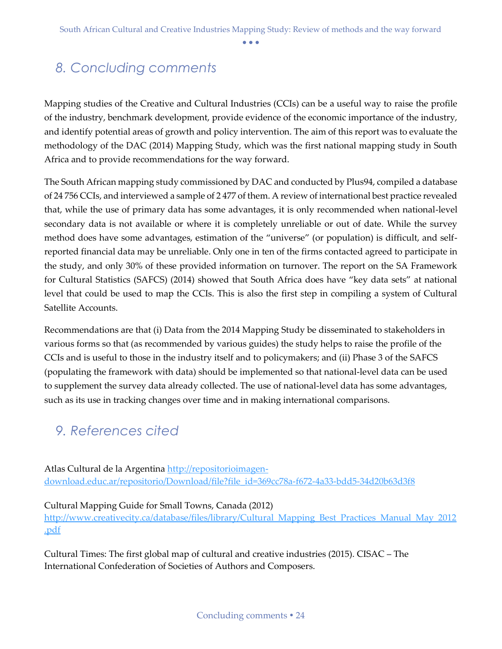# <span id="page-24-0"></span>*8. Concluding comments*

Mapping studies of the Creative and Cultural Industries (CCIs) can be a useful way to raise the profile of the industry, benchmark development, provide evidence of the economic importance of the industry, and identify potential areas of growth and policy intervention. The aim of this report was to evaluate the methodology of the DAC (2014) Mapping Study, which was the first national mapping study in South Africa and to provide recommendations for the way forward.

The South African mapping study commissioned by DAC and conducted by Plus94, compiled a database of 24 756 CCIs, and interviewed a sample of 2 477 of them. A review of international best practice revealed that, while the use of primary data has some advantages, it is only recommended when national-level secondary data is not available or where it is completely unreliable or out of date. While the survey method does have some advantages, estimation of the "universe" (or population) is difficult, and selfreported financial data may be unreliable. Only one in ten of the firms contacted agreed to participate in the study, and only 30% of these provided information on turnover. The report on the SA Framework for Cultural Statistics (SAFCS) (2014) showed that South Africa does have "key data sets" at national level that could be used to map the CCIs. This is also the first step in compiling a system of Cultural Satellite Accounts.

Recommendations are that (i) Data from the 2014 Mapping Study be disseminated to stakeholders in various forms so that (as recommended by various guides) the study helps to raise the profile of the CCIs and is useful to those in the industry itself and to policymakers; and (ii) Phase 3 of the SAFCS (populating the framework with data) should be implemented so that national-level data can be used to supplement the survey data already collected. The use of national-level data has some advantages, such as its use in tracking changes over time and in making international comparisons.

### <span id="page-24-1"></span>*9. References cited*

Atlas Cultural de la Argentina [http://repositorioimagen](http://repositorioimagen-download.educ.ar/repositorio/Download/file?file_id=369cc78a-f672-4a33-bdd5-34d20b63d3f8)[download.educ.ar/repositorio/Download/file?file\\_id=369cc78a-f672-4a33-bdd5-34d20b63d3f8](http://repositorioimagen-download.educ.ar/repositorio/Download/file?file_id=369cc78a-f672-4a33-bdd5-34d20b63d3f8)

#### Cultural Mapping Guide for Small Towns, Canada (2012)

http://www.creativecity.ca/database/files/library/Cultural Mapping Best Practices Manual May 2012 [.pdf](http://www.creativecity.ca/database/files/library/Cultural_Mapping_Best_Practices_Manual_May_2012.pdf)

Cultural Times: The first global map of cultural and creative industries (2015). CISAC – The International Confederation of Societies of Authors and Composers.